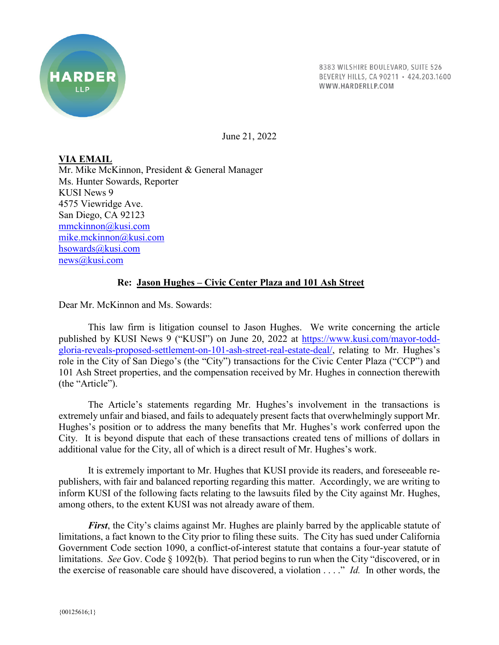

8383 WILSHIRE BOULEVARD, SUITE 526 BEVERLY HILLS, CA 90211 · 424.203.1600 WWW.HARDERLLP.COM

June 21, 2022

**VIA EMAIL** Mr. Mike McKinnon, President & General Manager Ms. Hunter Sowards, Reporter KUSI News 9 4575 Viewridge Ave. San Diego, CA 92123 mmckinnon@kusi.com mike.mckinnon@kusi.com hsowards@kusi.com news@kusi.com

## **Re: Jason Hughes – Civic Center Plaza and 101 Ash Street**

Dear Mr. McKinnon and Ms. Sowards:

This law firm is litigation counsel to Jason Hughes. We write concerning the article published by KUSI News 9 ("KUSI") on June 20, 2022 at https://www.kusi.com/mayor-toddgloria-reveals-proposed-settlement-on-101-ash-street-real-estate-deal/, relating to Mr. Hughes's role in the City of San Diego's (the "City") transactions for the Civic Center Plaza ("CCP") and 101 Ash Street properties, and the compensation received by Mr. Hughes in connection therewith (the "Article").

The Article's statements regarding Mr. Hughes's involvement in the transactions is extremely unfair and biased, and fails to adequately present facts that overwhelmingly support Mr. Hughes's position or to address the many benefits that Mr. Hughes's work conferred upon the City. It is beyond dispute that each of these transactions created tens of millions of dollars in additional value for the City, all of which is a direct result of Mr. Hughes's work.

It is extremely important to Mr. Hughes that KUSI provide its readers, and foreseeable republishers, with fair and balanced reporting regarding this matter. Accordingly, we are writing to inform KUSI of the following facts relating to the lawsuits filed by the City against Mr. Hughes, among others, to the extent KUSI was not already aware of them.

*First*, the City's claims against Mr. Hughes are plainly barred by the applicable statute of limitations, a fact known to the City prior to filing these suits. The City has sued under California Government Code section 1090, a conflict-of-interest statute that contains a four-year statute of limitations. *See* Gov. Code § 1092(b). That period begins to run when the City "discovered, or in the exercise of reasonable care should have discovered, a violation . . . ." *Id.* In other words, the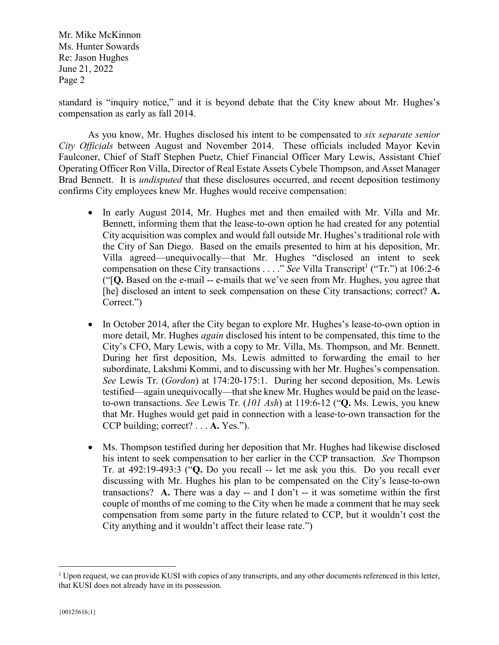standard is "inquiry notice," and it is beyond debate that the City knew about Mr. Hughes's compensation as early as fall 2014.

As you know, Mr. Hughes disclosed his intent to be compensated to *six separate senior City Officials* between August and November 2014. These officials included Mayor Kevin Faulconer, Chief of Staff Stephen Puetz, Chief Financial Officer Mary Lewis, Assistant Chief Operating Officer Ron Villa, Director of Real Estate Assets Cybele Thompson, and Asset Manager Brad Bennett. It is *undisputed* that these disclosures occurred, and recent deposition testimony confirms City employees knew Mr. Hughes would receive compensation:

- In early August 2014, Mr. Hughes met and then emailed with Mr. Villa and Mr. Bennett, informing them that the lease-to-own option he had created for any potential City acquisition was complex and would fall outside Mr. Hughes's traditional role with the City of San Diego. Based on the emails presented to him at his deposition, Mr. Villa agreed—unequivocally—that Mr. Hughes "disclosed an intent to seek compensation on these City transactions  $\dots$  *See* Villa Transcript<sup>1</sup> ("Tr.") at 106:2-6 ("[**Q.** Based on the e-mail -- e-mails that we've seen from Mr. Hughes, you agree that [he] disclosed an intent to seek compensation on these City transactions; correct? A. Correct.")
- In October 2014, after the City began to explore Mr. Hughes's lease-to-own option in more detail, Mr. Hughes *again* disclosed his intent to be compensated, this time to the City's CFO, Mary Lewis, with a copy to Mr. Villa, Ms. Thompson, and Mr. Bennett. During her first deposition, Ms. Lewis admitted to forwarding the email to her subordinate, Lakshmi Kommi, and to discussing with her Mr. Hughes's compensation. *See* Lewis Tr. (*Gordon*) at 174:20-175:1. During her second deposition, Ms. Lewis testified—again unequivocally—that she knew Mr. Hughes would be paid on the leaseto-own transactions. *See* Lewis Tr. (*101 Ash*) at 119:6-12 ("**Q.** Ms. Lewis, you knew that Mr. Hughes would get paid in connection with a lease‐to‐own transaction for the CCP building; correct? . . . **A.** Yes.").
- Ms. Thompson testified during her deposition that Mr. Hughes had likewise disclosed his intent to seek compensation to her earlier in the CCP transaction. *See* Thompson Tr. at 492:19-493:3 ("**Q.** Do you recall -- let me ask you this. Do you recall ever discussing with Mr. Hughes his plan to be compensated on the City's lease-to-own transactions? **A.** There was a day -- and I don't -- it was sometime within the first couple of months of me coming to the City when he made a comment that he may seek compensation from some party in the future related to CCP, but it wouldn't cost the City anything and it wouldn't affect their lease rate.")

 <sup>1</sup> Upon request, we can provide KUSI with copies of any transcripts, and any other documents referenced in this letter, that KUSI does not already have in its possession.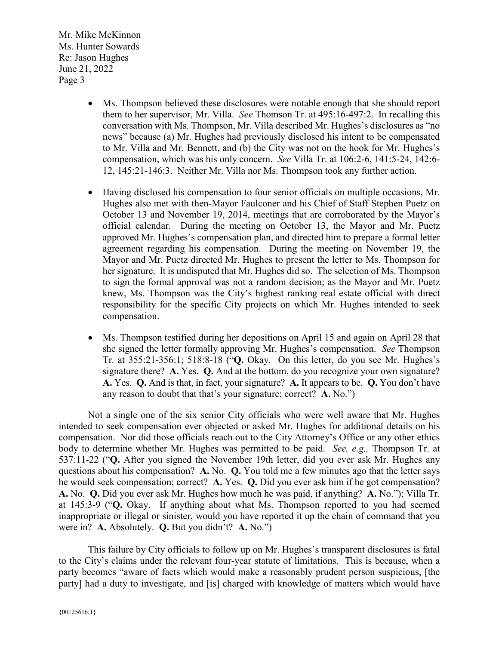- Ms. Thompson believed these disclosures were notable enough that she should report them to her supervisor, Mr. Villa. *See* Thomson Tr. at 495:16-497:2. In recalling this conversation with Ms. Thompson, Mr. Villa described Mr. Hughes's disclosures as "no news" because (a) Mr. Hughes had previously disclosed his intent to be compensated to Mr. Villa and Mr. Bennett, and (b) the City was not on the hook for Mr. Hughes's compensation, which was his only concern. *See* Villa Tr. at 106:2-6, 141:5-24, 142:6- 12, 145:21-146:3. Neither Mr. Villa nor Ms. Thompson took any further action.
- Having disclosed his compensation to four senior officials on multiple occasions, Mr. Hughes also met with then-Mayor Faulconer and his Chief of Staff Stephen Puetz on October 13 and November 19, 2014, meetings that are corroborated by the Mayor's official calendar. During the meeting on October 13, the Mayor and Mr. Puetz approved Mr. Hughes's compensation plan, and directed him to prepare a formal letter agreement regarding his compensation. During the meeting on November 19, the Mayor and Mr. Puetz directed Mr. Hughes to present the letter to Ms. Thompson for her signature. It is undisputed that Mr. Hughes did so. The selection of Ms. Thompson to sign the formal approval was not a random decision; as the Mayor and Mr. Puetz knew, Ms. Thompson was the City's highest ranking real estate official with direct responsibility for the specific City projects on which Mr. Hughes intended to seek compensation.
- Ms. Thompson testified during her depositions on April 15 and again on April 28 that she signed the letter formally approving Mr. Hughes's compensation. *See* Thompson Tr. at 355:21-356:1; 518:8-18 ("**Q.** Okay. On this letter, do you see Mr. Hughes's signature there? **A.** Yes. **Q.** And at the bottom, do you recognize your own signature? **A.** Yes. **Q.** And is that, in fact, your signature? **A.** It appears to be. **Q.** You don't have any reason to doubt that that's your signature; correct? **A.** No.")

Not a single one of the six senior City officials who were well aware that Mr. Hughes intended to seek compensation ever objected or asked Mr. Hughes for additional details on his compensation. Nor did those officials reach out to the City Attorney's Office or any other ethics body to determine whether Mr. Hughes was permitted to be paid. *See, e.g.,* Thompson Tr. at 537:11-22 ("**Q.** After you signed the November 19th letter, did you ever ask Mr. Hughes any questions about his compensation? **A.** No. **Q.** You told me a few minutes ago that the letter says he would seek compensation; correct? **A.** Yes. **Q.** Did you ever ask him if he got compensation? **A.** No. **Q.** Did you ever ask Mr. Hughes how much he was paid, if anything? **A.** No."); Villa Tr. at 145:3-9 ("**Q.** Okay. If anything about what Ms. Thompson reported to you had seemed inappropriate or illegal or sinister, would you have reported it up the chain of command that you were in? **A.** Absolutely. **Q.** But you didn't? **A.** No.")

This failure by City officials to follow up on Mr. Hughes's transparent disclosures is fatal to the City's claims under the relevant four-year statute of limitations. This is because, when a party becomes "aware of facts which would make a reasonably prudent person suspicious, [the party] had a duty to investigate, and [is] charged with knowledge of matters which would have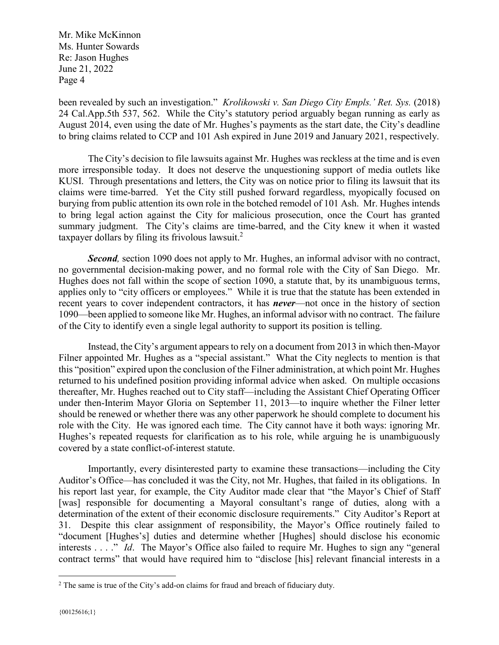been revealed by such an investigation." *Krolikowski v. San Diego City Empls.' Ret. Sys.* (2018) 24 Cal.App.5th 537, 562. While the City's statutory period arguably began running as early as August 2014, even using the date of Mr. Hughes's payments as the start date, the City's deadline to bring claims related to CCP and 101 Ash expired in June 2019 and January 2021, respectively.

The City's decision to file lawsuits against Mr. Hughes was reckless at the time and is even more irresponsible today. It does not deserve the unquestioning support of media outlets like KUSI. Through presentations and letters, the City was on notice prior to filing its lawsuit that its claims were time-barred. Yet the City still pushed forward regardless, myopically focused on burying from public attention its own role in the botched remodel of 101 Ash. Mr. Hughes intends to bring legal action against the City for malicious prosecution, once the Court has granted summary judgment. The City's claims are time-barred, and the City knew it when it wasted taxpayer dollars by filing its frivolous lawsuit. 2

*Second,* section 1090 does not apply to Mr. Hughes, an informal advisor with no contract, no governmental decision-making power, and no formal role with the City of San Diego. Mr. Hughes does not fall within the scope of section 1090, a statute that, by its unambiguous terms, applies only to "city officers or employees." While it is true that the statute has been extended in recent years to cover independent contractors, it has *never*—not once in the history of section 1090—been applied to someone like Mr. Hughes, an informal advisor with no contract. The failure of the City to identify even a single legal authority to support its position is telling.

Instead, the City's argument appears to rely on a document from 2013 in which then-Mayor Filner appointed Mr. Hughes as a "special assistant." What the City neglects to mention is that this "position" expired upon the conclusion of the Filner administration, at which point Mr. Hughes returned to his undefined position providing informal advice when asked. On multiple occasions thereafter, Mr. Hughes reached out to City staff—including the Assistant Chief Operating Officer under then-Interim Mayor Gloria on September 11, 2013—to inquire whether the Filner letter should be renewed or whether there was any other paperwork he should complete to document his role with the City. He was ignored each time. The City cannot have it both ways: ignoring Mr. Hughes's repeated requests for clarification as to his role, while arguing he is unambiguously covered by a state conflict-of-interest statute.

Importantly, every disinterested party to examine these transactions—including the City Auditor's Office—has concluded it was the City, not Mr. Hughes, that failed in its obligations. In his report last year, for example, the City Auditor made clear that "the Mayor's Chief of Staff [was] responsible for documenting a Mayoral consultant's range of duties, along with a determination of the extent of their economic disclosure requirements." City Auditor's Report at 31. Despite this clear assignment of responsibility, the Mayor's Office routinely failed to "document [Hughes's] duties and determine whether [Hughes] should disclose his economic interests . . . ." *Id*. The Mayor's Office also failed to require Mr. Hughes to sign any "general contract terms" that would have required him to "disclose [his] relevant financial interests in a

<sup>&</sup>lt;sup>2</sup> The same is true of the City's add-on claims for fraud and breach of fiduciary duty.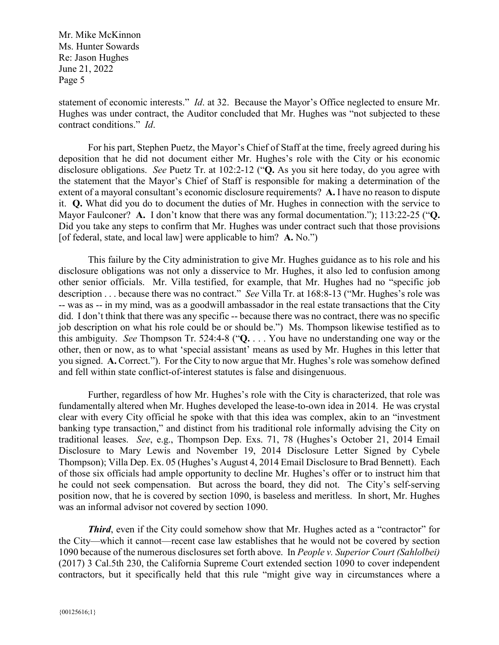statement of economic interests." *Id*. at 32. Because the Mayor's Office neglected to ensure Mr. Hughes was under contract, the Auditor concluded that Mr. Hughes was "not subjected to these contract conditions." *Id*.

For his part, Stephen Puetz, the Mayor's Chief of Staff at the time, freely agreed during his deposition that he did not document either Mr. Hughes's role with the City or his economic disclosure obligations. *See* Puetz Tr. at 102:2-12 ("**Q.** As you sit here today, do you agree with the statement that the Mayor's Chief of Staff is responsible for making a determination of the extent of a mayoral consultant's economic disclosure requirements? **A.** I have no reason to dispute it. **Q.** What did you do to document the duties of Mr. Hughes in connection with the service to Mayor Faulconer? **A.** I don't know that there was any formal documentation."); 113:22-25 ("**Q.** Did you take any steps to confirm that Mr. Hughes was under contract such that those provisions [of federal, state, and local law] were applicable to him? **A.** No.")

This failure by the City administration to give Mr. Hughes guidance as to his role and his disclosure obligations was not only a disservice to Mr. Hughes, it also led to confusion among other senior officials. Mr. Villa testified, for example, that Mr. Hughes had no "specific job description . . . because there was no contract." *See* Villa Tr. at 168:8-13 ("Mr. Hughes's role was -- was as -- in my mind, was as a goodwill ambassador in the real estate transactions that the City did. I don't think that there was any specific -- because there was no contract, there was no specific job description on what his role could be or should be.") Ms. Thompson likewise testified as to this ambiguity. *See* Thompson Tr. 524:4-8 ("**Q.** . . . You have no understanding one way or the other, then or now, as to what 'special assistant' means as used by Mr. Hughes in this letter that you signed. **A.** Correct."). For the City to now argue that Mr. Hughes's role was somehow defined and fell within state conflict-of-interest statutes is false and disingenuous.

Further, regardless of how Mr. Hughes's role with the City is characterized, that role was fundamentally altered when Mr. Hughes developed the lease-to-own idea in 2014. He was crystal clear with every City official he spoke with that this idea was complex, akin to an "investment banking type transaction," and distinct from his traditional role informally advising the City on traditional leases. *See*, e.g., Thompson Dep. Exs. 71, 78 (Hughes's October 21, 2014 Email Disclosure to Mary Lewis and November 19, 2014 Disclosure Letter Signed by Cybele Thompson); Villa Dep. Ex. 05 (Hughes's August 4, 2014 Email Disclosure to Brad Bennett). Each of those six officials had ample opportunity to decline Mr. Hughes's offer or to instruct him that he could not seek compensation. But across the board, they did not. The City's self-serving position now, that he is covered by section 1090, is baseless and meritless. In short, Mr. Hughes was an informal advisor not covered by section 1090.

*Third*, even if the City could somehow show that Mr. Hughes acted as a "contractor" for the City—which it cannot—recent case law establishes that he would not be covered by section 1090 because of the numerous disclosures set forth above. In *People v. Superior Court (Sahlolbei)* (2017) 3 Cal.5th 230, the California Supreme Court extended section 1090 to cover independent contractors, but it specifically held that this rule "might give way in circumstances where a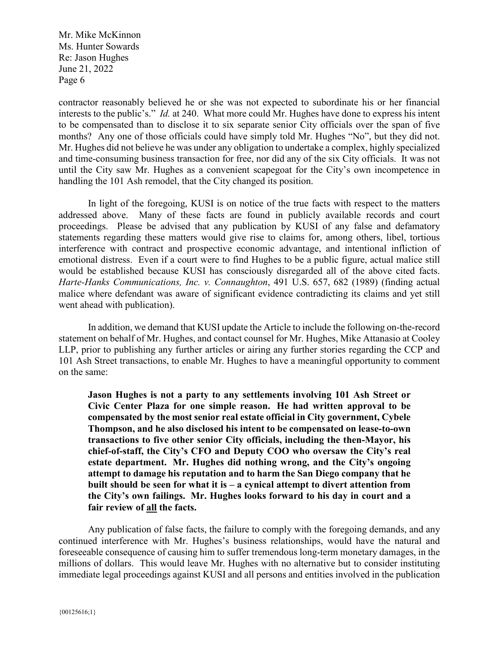contractor reasonably believed he or she was not expected to subordinate his or her financial interests to the public's." *Id.* at 240. What more could Mr. Hughes have done to express his intent to be compensated than to disclose it to six separate senior City officials over the span of five months? Any one of those officials could have simply told Mr. Hughes "No", but they did not. Mr. Hughes did not believe he was under any obligation to undertake a complex, highly specialized and time-consuming business transaction for free, nor did any of the six City officials. It was not until the City saw Mr. Hughes as a convenient scapegoat for the City's own incompetence in handling the 101 Ash remodel, that the City changed its position.

In light of the foregoing, KUSI is on notice of the true facts with respect to the matters addressed above. Many of these facts are found in publicly available records and court proceedings. Please be advised that any publication by KUSI of any false and defamatory statements regarding these matters would give rise to claims for, among others, libel, tortious interference with contract and prospective economic advantage, and intentional infliction of emotional distress. Even if a court were to find Hughes to be a public figure, actual malice still would be established because KUSI has consciously disregarded all of the above cited facts. *Harte-Hanks Communications, Inc. v. Connaughton*, 491 U.S. 657, 682 (1989) (finding actual malice where defendant was aware of significant evidence contradicting its claims and yet still went ahead with publication).

In addition, we demand that KUSI update the Article to include the following on-the-record statement on behalf of Mr. Hughes, and contact counsel for Mr. Hughes, Mike Attanasio at Cooley LLP, prior to publishing any further articles or airing any further stories regarding the CCP and 101 Ash Street transactions, to enable Mr. Hughes to have a meaningful opportunity to comment on the same:

**Jason Hughes is not a party to any settlements involving 101 Ash Street or Civic Center Plaza for one simple reason. He had written approval to be compensated by the most senior real estate official in City government, Cybele Thompson, and he also disclosed his intent to be compensated on lease-to-own transactions to five other senior City officials, including the then-Mayor, his chief-of-staff, the City's CFO and Deputy COO who oversaw the City's real estate department. Mr. Hughes did nothing wrong, and the City's ongoing attempt to damage his reputation and to harm the San Diego company that he built should be seen for what it is – a cynical attempt to divert attention from the City's own failings. Mr. Hughes looks forward to his day in court and a fair review of all the facts.**

Any publication of false facts, the failure to comply with the foregoing demands, and any continued interference with Mr. Hughes's business relationships, would have the natural and foreseeable consequence of causing him to suffer tremendous long-term monetary damages, in the millions of dollars. This would leave Mr. Hughes with no alternative but to consider instituting immediate legal proceedings against KUSI and all persons and entities involved in the publication